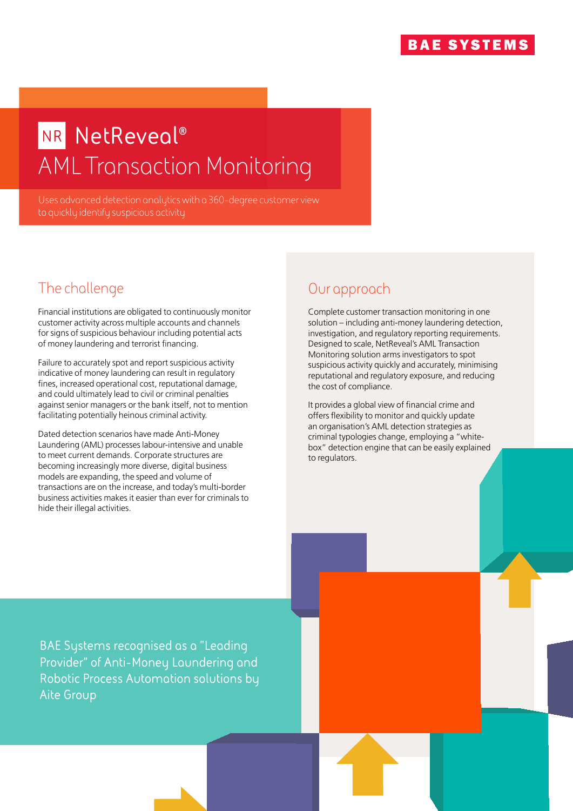# AML Transaction Monitoring **NR NetReveal®**

Uses advanced detection analytics with a 360-degree customer view to quickly identify suspicious activity

### The challenge

Financial institutions are obligated to continuously monitor customer activity across multiple accounts and channels for signs of suspicious behaviour including potential acts of money laundering and terrorist financing.

Failure to accurately spot and report suspicious activity indicative of money laundering can result in regulatory fines, increased operational cost, reputational damage, and could ultimately lead to civil or criminal penalties against senior managers or the bank itself, not to mention facilitating potentially heinous criminal activity.

Dated detection scenarios have made Anti-Money Laundering (AML) processes labour-intensive and unable to meet current demands. Corporate structures are becoming increasingly more diverse, digital business models are expanding, the speed and volume of transactions are on the increase, and today's multi-border business activities makes it easier than ever for criminals to hide their illegal activities.

#### Our approach

Complete customer transaction monitoring in one solution – including anti-money laundering detection, investigation, and regulatory reporting requirements. Designed to scale, NetReveal's AML Transaction Monitoring solution arms investigators to spot suspicious activity quickly and accurately, minimising reputational and regulatory exposure, and reducing the cost of compliance.

It provides a global view of financial crime and offers flexibility to monitor and quickly update an organisation's AML detection strategies as criminal typologies change, employing a "whitebox" detection engine that can be easily explained to regulators.

**BAE Systems recognised as a "Leading Provider" of Anti-Money Laundering and Robotic Process Automation solutions by Aite Group**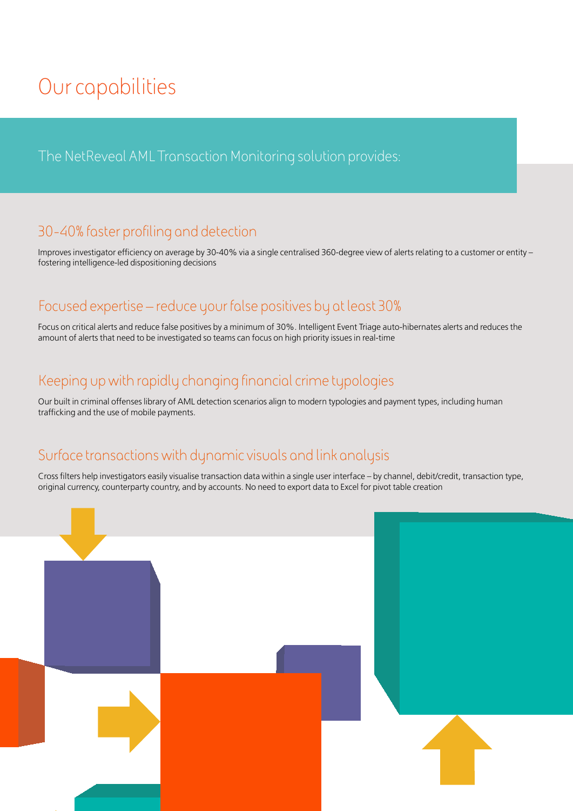## Our capabilities

The NetReveal AML Transaction Monitoring solution provides:

### 30-40% faster profiling and detection

Improves investigator efficiency on average by 30-40% via a single centralised 360-degree view of alerts relating to a customer or entity – fostering intelligence-led dispositioning decisions

#### Focused expertise – reduce your false positives by at least 30%

Focus on critical alerts and reduce false positives by a minimum of 30%. Intelligent Event Triage auto-hibernates alerts and reduces the amount of alerts that need to be investigated so teams can focus on high priority issues in real-time

#### Keeping up with rapidly changing financial crime typologies

Our built in criminal offenses library of AML detection scenarios align to modern typologies and payment types, including human trafficking and the use of mobile payments.

#### Surface transactions with dynamic visuals and link analysis

Cross filters help investigators easily visualise transaction data within a single user interface – by channel, debit/credit, transaction type, original currency, counterparty country, and by accounts. No need to export data to Excel for pivot table creation

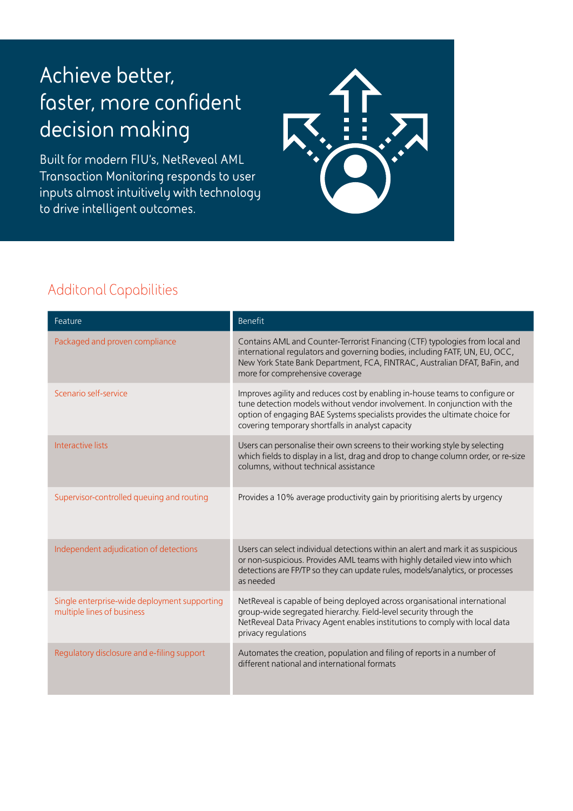## **Achieve better, faster, more confident decision making**

**Built for modern FIU's, NetReveal AML Transaction Monitoring responds to user inputs almost intuitively with technology to drive intelligent outcomes.**



### Additonal Capabilities

| Feature                                                                    | <b>Benefit</b>                                                                                                                                                                                                                                                                                |
|----------------------------------------------------------------------------|-----------------------------------------------------------------------------------------------------------------------------------------------------------------------------------------------------------------------------------------------------------------------------------------------|
| Packaged and proven compliance                                             | Contains AML and Counter-Terrorist Financing (CTF) typologies from local and<br>international regulators and governing bodies, including FATF, UN, EU, OCC,<br>New York State Bank Department, FCA, FINTRAC, Australian DFAT, BaFin, and<br>more for comprehensive coverage                   |
| Scenario self-service                                                      | Improves agility and reduces cost by enabling in-house teams to configure or<br>tune detection models without vendor involvement. In conjunction with the<br>option of engaging BAE Systems specialists provides the ultimate choice for<br>covering temporary shortfalls in analyst capacity |
| Interactive lists                                                          | Users can personalise their own screens to their working style by selecting<br>which fields to display in a list, drag and drop to change column order, or re-size<br>columns, without technical assistance                                                                                   |
| Supervisor-controlled queuing and routing                                  | Provides a 10% average productivity gain by prioritising alerts by urgency                                                                                                                                                                                                                    |
| Independent adjudication of detections                                     | Users can select individual detections within an alert and mark it as suspicious<br>or non-suspicious. Provides AML teams with highly detailed view into which<br>detections are FP/TP so they can update rules, models/analytics, or processes<br>as needed                                  |
| Single enterprise-wide deployment supporting<br>multiple lines of business | NetReveal is capable of being deployed across organisational international<br>group-wide segregated hierarchy. Field-level security through the<br>NetReveal Data Privacy Agent enables institutions to comply with local data<br>privacy regulations                                         |
| Regulatory disclosure and e-filing support                                 | Automates the creation, population and filing of reports in a number of<br>different national and international formats                                                                                                                                                                       |